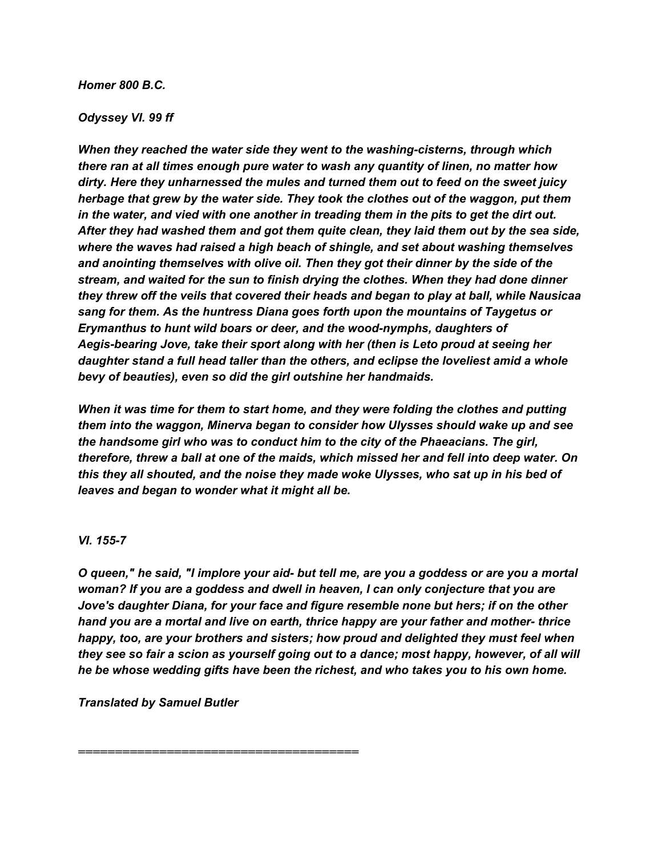## *Homer 800 B.C.*

## *Odyssey VI. 99 ff*

*When they reached the water side they went to the washing-cisterns, through which there ran at all times enough pure water to wash any quantity of linen, no matter how dirty. Here they unharnessed the mules and turned them out to feed on the sweet juicy herbage that grew by the water side. They took the clothes out of the waggon, put them in the water, and vied with one another in treading them in the pits to get the dirt out. After they had washed them and got them quite clean, they laid them out by the sea side, where the waves had raised a high beach of shingle, and set about washing themselves and anointing themselves with olive oil. Then they got their dinner by the side of the stream, and waited for the sun to finish drying the clothes. When they had done dinner they threw off the veils that covered their heads and began to play at ball, while Nausicaa sang for them. As the huntress Diana goes forth upon the mountains of Taygetus or Erymanthus to hunt wild boars or deer, and the wood-nymphs, daughters of Aegis-bearing Jove, take their sport along with her (then is Leto proud at seeing her daughter stand a full head taller than the others, and eclipse the loveliest amid a whole bevy of beauties), even so did the girl outshine her handmaids.*

*When it was time for them to start home, and they were folding the clothes and putting them into the waggon, Minerva began to consider how Ulysses should wake up and see the handsome girl who was to conduct him to the city of the Phaeacians. The girl, therefore, threw a ball at one of the maids, which missed her and fell into deep water. On this they all shouted, and the noise they made woke Ulysses, who sat up in his bed of leaves and began to wonder what it might all be.*

## *VI. 155-7*

O queen," he said, "I implore your aid- but tell me, are you a goddess or are you a mortal *woman? If you are a goddess and dwell in heaven, I can only conjecture that you are Jove's daughter Diana, for your face and figure resemble none but hers; if on the other hand you are a mortal and live on earth, thrice happy are your father and mother- thrice happy, too, are your brothers and sisters; how proud and delighted they must feel when they see so fair a scion as yourself going out to a dance; most happy, however, of all will he be whose wedding gifts have been the richest, and who takes you to his own home.*

*Translated by Samuel Butler*

*======================================*